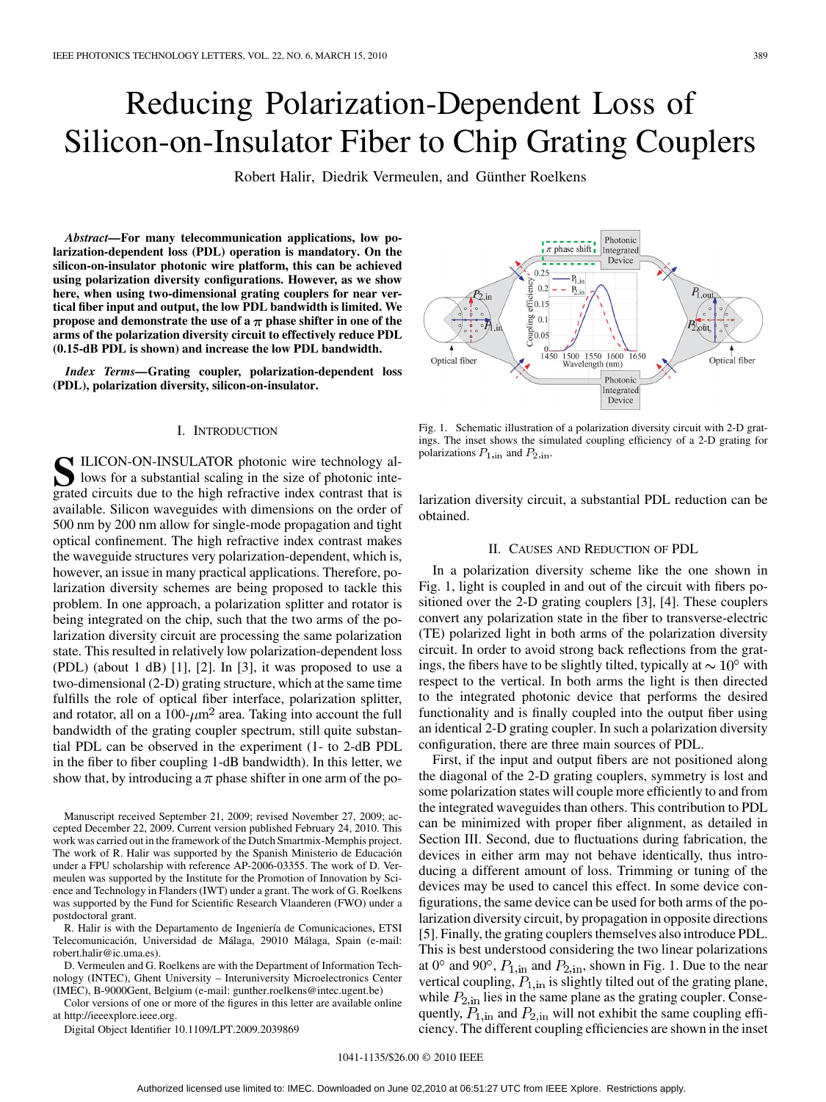# Reducing Polarization-Dependent Loss of Silicon-on-Insulator Fiber to Chip Grating Couplers

Robert Halir, Diedrik Vermeulen, and Günther Roelkens

*Abstract—***For many telecommunication applications, low polarization-dependent loss (PDL) operation is mandatory. On the silicon-on-insulator photonic wire platform, this can be achieved using polarization diversity configurations. However, as we show here, when using two-dimensional grating couplers for near vertical fiber input and output, the low PDL bandwidth is limited. We propose and demonstrate the use of a**  $\pi$  phase shifter in one of the **arms of the polarization diversity circuit to effectively reduce PDL (0.15-dB PDL is shown) and increase the low PDL bandwidth.**

*Index Terms—***Grating coupler, polarization-dependent loss (PDL), polarization diversity, silicon-on-insulator.**

# I. INTRODUCTION

**S**ILICON-ON-INSULATOR photonic wire technology allows for a substantial scaling in the size of photonic inte-<br>
orated circuits due to the high refractive index contrast that is grated circuits due to the high refractive index contrast that is available. Silicon waveguides with dimensions on the order of 500 nm by 200 nm allow for single-mode propagation and tight optical confinement. The high refractive index contrast makes the waveguide structures very polarization-dependent, which is, however, an issue in many practical applications. Therefore, polarization diversity schemes are being proposed to tackle this problem. In one approach, a polarization splitter and rotator is being integrated on the chip, such that the two arms of the polarization diversity circuit are processing the same polarization state. This resulted in relatively low polarization-dependent loss  $(PDL)$  (about 1 dB) [1], [2]. In [3], it was proposed to use a two-dimensional (2-D) grating structure, which at the same time fulfills the role of optical fiber interface, polarization splitter, and rotator, all on a 100- $\mu$ m<sup>2</sup> area. Taking into account the full bandwidth of the grating coupler spectrum, still quite substantial PDL can be observed in the experiment (1- to 2-dB PDL in the fiber to fiber coupling 1-dB bandwidth). In this letter, we show that, by introducing a  $\pi$  phase shifter in one arm of the po-

Manuscript received September 21, 2009; revised November 27, 2009; accepted December 22, 2009. Current version published February 24, 2010. This work was carried out in the framework of the Dutch Smartmix-Memphis project. The work of R. Halir was supported by the Spanish Ministerio de Educación under a FPU scholarship with reference AP-2006-03355. The work of D. Vermeulen was supported by the Institute for the Promotion of Innovation by Science and Technology in Flanders (IWT) under a grant. The work of G. Roelkens was supported by the Fund for Scientific Research Vlaanderen (FWO) under a postdoctoral grant.

R. Halir is with the Departamento de Ingeniería de Comunicaciones, ETSI Telecomunicación, Universidad de Málaga, 29010 Málaga, Spain (e-mail: robert.halir@ic.uma.es).

D. Vermeulen and G. Roelkens are with the Department of Information Technology (INTEC), Ghent University – Interuniversity Microelectronics Center (IMEC), B-9000Gent, Belgium (e-mail: gunther.roelkens@intec.ugent.be)

Color versions of one or more of the figures in this letter are available online at http://ieeexplore.ieee.org.

Digital Object Identifier 10.1109/LPT.2009.2039869



Fig. 1. Schematic illustration of a polarization diversity circuit with 2-D gratings. The inset shows the simulated coupling efficiency of a 2-D grating for polarizations  $P_{1, \text{in}}$  and  $P_{2, \text{in}}$ .

larization diversity circuit, a substantial PDL reduction can be obtained.

# II. CAUSES AND REDUCTION OF PDL

In a polarization diversity scheme like the one shown in Fig. 1, light is coupled in and out of the circuit with fibers positioned over the 2-D grating couplers [3], [4]. These couplers convert any polarization state in the fiber to transverse-electric (TE) polarized light in both arms of the polarization diversity circuit. In order to avoid strong back reflections from the gratings, the fibers have to be slightly tilted, typically at  $\sim 10^{\circ}$  with respect to the vertical. In both arms the light is then directed to the integrated photonic device that performs the desired functionality and is finally coupled into the output fiber using an identical 2-D grating coupler. In such a polarization diversity configuration, there are three main sources of PDL.

First, if the input and output fibers are not positioned along the diagonal of the 2-D grating couplers, symmetry is lost and some polarization states will couple more efficiently to and from the integrated waveguides than others. This contribution to PDL can be minimized with proper fiber alignment, as detailed in Section III. Second, due to fluctuations during fabrication, the devices in either arm may not behave identically, thus introducing a different amount of loss. Trimming or tuning of the devices may be used to cancel this effect. In some device configurations, the same device can be used for both arms of the polarization diversity circuit, by propagation in opposite directions [5]. Finally, the grating couplers themselves also introduce PDL. This is best understood considering the two linear polarizations at  $0^{\circ}$  and  $90^{\circ}$ ,  $P_{1,\text{in}}$  and  $P_{2,\text{in}}$ , shown in Fig. 1. Due to the near vertical coupling,  $P_{1, \text{in}}$  is slightly tilted out of the grating plane, while  $P_{2,\text{in}}$  lies in the same plane as the grating coupler. Consequently,  $P_{1,\text{in}}$  and  $P_{2,\text{in}}$  will not exhibit the same coupling efficiency. The different coupling efficiencies are shown in the inset

# 1041-1135/\$26.00 © 2010 IEEE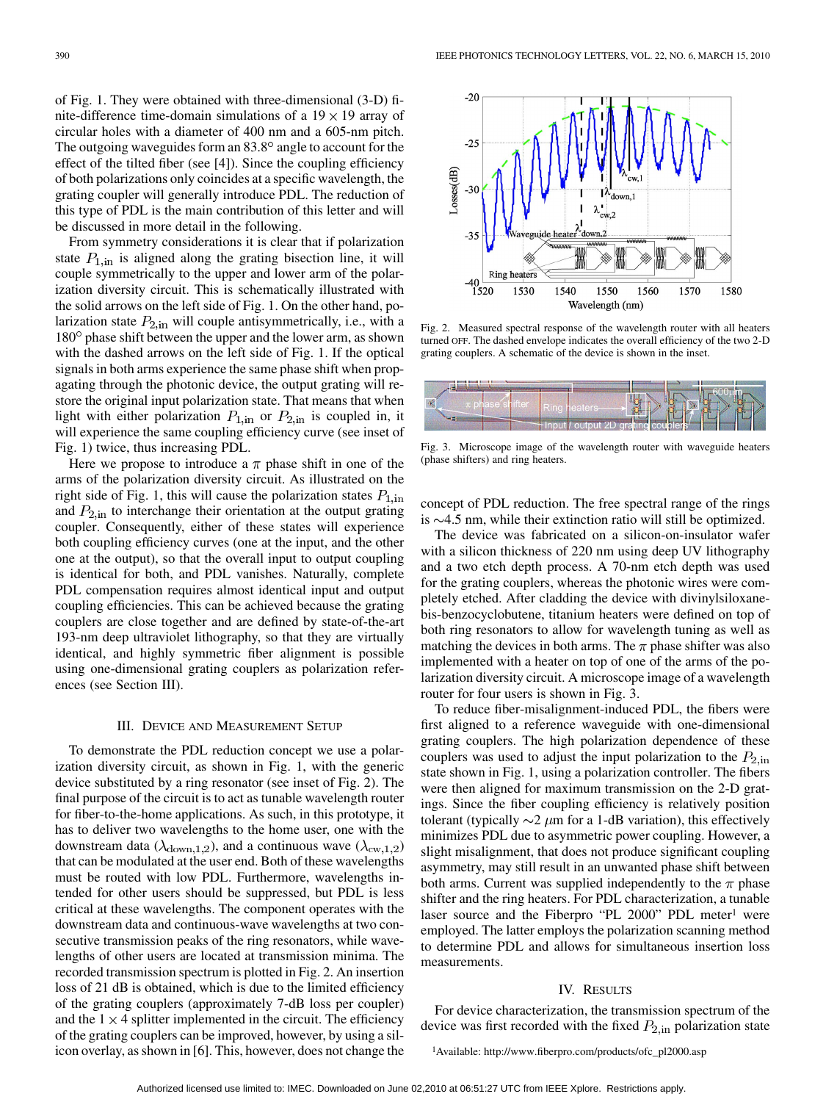of Fig. 1. They were obtained with three-dimensional (3-D) finite-difference time-domain simulations of a  $19 \times 19$  array of circular holes with a diameter of 400 nm and a 605-nm pitch. The outgoing waveguides form an  $83.8^\circ$  angle to account for the effect of the tilted fiber (see [4]). Since the coupling efficiency of both polarizations only coincides at a specific wavelength, the grating coupler will generally introduce PDL. The reduction of this type of PDL is the main contribution of this letter and will be discussed in more detail in the following.

From symmetry considerations it is clear that if polarization state  $P_{1,\text{in}}$  is aligned along the grating bisection line, it will couple symmetrically to the upper and lower arm of the polarization diversity circuit. This is schematically illustrated with the solid arrows on the left side of Fig. 1. On the other hand, polarization state  $P_{2,\text{in}}$  will couple antisymmetrically, i.e., with a 180° phase shift between the upper and the lower arm, as shown with the dashed arrows on the left side of Fig. 1. If the optical signals in both arms experience the same phase shift when propagating through the photonic device, the output grating will restore the original input polarization state. That means that when light with either polarization  $P_{1,\text{in}}$  or  $P_{2,\text{in}}$  is coupled in, it will experience the same coupling efficiency curve (see inset of Fig. 1) twice, thus increasing PDL.

Here we propose to introduce a  $\pi$  phase shift in one of the arms of the polarization diversity circuit. As illustrated on the right side of Fig. 1, this will cause the polarization states  $P_{1,\text{in}}$ and  $P_{2,\text{in}}$  to interchange their orientation at the output grating coupler. Consequently, either of these states will experience both coupling efficiency curves (one at the input, and the other one at the output), so that the overall input to output coupling is identical for both, and PDL vanishes. Naturally, complete PDL compensation requires almost identical input and output coupling efficiencies. This can be achieved because the grating couplers are close together and are defined by state-of-the-art 193-nm deep ultraviolet lithography, so that they are virtually identical, and highly symmetric fiber alignment is possible using one-dimensional grating couplers as polarization references (see Section III).

#### III. DEVICE AND MEASUREMENT SETUP

To demonstrate the PDL reduction concept we use a polarization diversity circuit, as shown in Fig. 1, with the generic device substituted by a ring resonator (see inset of Fig. 2). The final purpose of the circuit is to act as tunable wavelength router for fiber-to-the-home applications. As such, in this prototype, it has to deliver two wavelengths to the home user, one with the downstream data ( $\lambda_{\text{down},1,2}$ ), and a continuous wave ( $\lambda_{\text{cw},1,2}$ ) that can be modulated at the user end. Both of these wavelengths must be routed with low PDL. Furthermore, wavelengths intended for other users should be suppressed, but PDL is less critical at these wavelengths. The component operates with the downstream data and continuous-wave wavelengths at two consecutive transmission peaks of the ring resonators, while wavelengths of other users are located at transmission minima. The recorded transmission spectrum is plotted in Fig. 2. An insertion loss of 21 dB is obtained, which is due to the limited efficiency of the grating couplers (approximately 7-dB loss per coupler) and the  $1 \times 4$  splitter implemented in the circuit. The efficiency of the grating couplers can be improved, however, by using a silicon overlay, as shown in [6]. This, however, does not change the



Fig. 2. Measured spectral response of the wavelength router with all heaters turned OFF. The dashed envelope indicates the overall efficiency of the two 2-D grating couplers. A schematic of the device is shown in the inset.



Fig. 3. Microscope image of the wavelength router with waveguide heaters (phase shifters) and ring heaters.

concept of PDL reduction. The free spectral range of the rings is  $\sim$  4.5 nm, while their extinction ratio will still be optimized.

The device was fabricated on a silicon-on-insulator wafer with a silicon thickness of 220 nm using deep UV lithography and a two etch depth process. A 70-nm etch depth was used for the grating couplers, whereas the photonic wires were completely etched. After cladding the device with divinylsiloxanebis-benzocyclobutene, titanium heaters were defined on top of both ring resonators to allow for wavelength tuning as well as matching the devices in both arms. The  $\pi$  phase shifter was also implemented with a heater on top of one of the arms of the polarization diversity circuit. A microscope image of a wavelength router for four users is shown in Fig. 3.

To reduce fiber-misalignment-induced PDL, the fibers were first aligned to a reference waveguide with one-dimensional grating couplers. The high polarization dependence of these couplers was used to adjust the input polarization to the  $P_{2,\text{in}}$ state shown in Fig. 1, using a polarization controller. The fibers were then aligned for maximum transmission on the 2-D gratings. Since the fiber coupling efficiency is relatively position tolerant (typically  $\sim$ 2  $\mu$ m for a 1-dB variation), this effectively minimizes PDL due to asymmetric power coupling. However, a slight misalignment, that does not produce significant coupling asymmetry, may still result in an unwanted phase shift between both arms. Current was supplied independently to the  $\pi$  phase shifter and the ring heaters. For PDL characterization, a tunable laser source and the Fiberpro "PL 2000" PDL meter<sup>1</sup> were employed. The latter employs the polarization scanning method to determine PDL and allows for simultaneous insertion loss measurements.

### IV. RESULTS

For device characterization, the transmission spectrum of the device was first recorded with the fixed  $P_{2,\text{in}}$  polarization state

1Available: http://www.fiberpro.com/products/ofc\_pl2000.asp